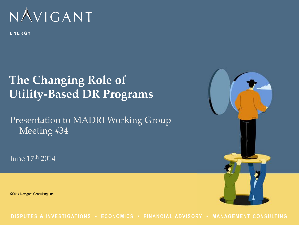

ENERGY

# **The Changing Role of Utility-Based DR Programs**

Presentation to MADRI Working Group Meeting #34

June 17th 2014

©2014 Navigant Consulting, Inc.



DISPUTES & INVESTIGATIONS . ECONOMICS . FINANCIAL ADVISORY . MANAGEMENT CONSULTING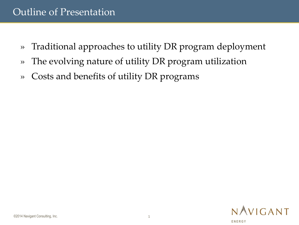#### Outline of Presentation

- » Traditional approaches to utility DR program deployment
- » The evolving nature of utility DR program utilization
- » Costs and benefits of utility DR programs

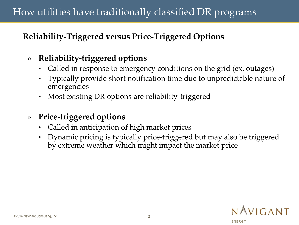### How utilities have traditionally classified DR programs

#### **Reliability-Triggered versus Price-Triggered Options**

#### » **Reliability-triggered options**

- Called in response to emergency conditions on the grid (ex. outages)
- Typically provide short notification time due to unpredictable nature of emergencies
- Most existing DR options are reliability-triggered
- » **Price-triggered options**
	- Called in anticipation of high market prices
	- Dynamic pricing is typically price-triggered but may also be triggered by extreme weather which might impact the market price

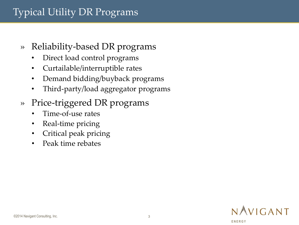### Typical Utility DR Programs

- » Reliability-based DR programs
	- Direct load control programs
	- Curtailable/interruptible rates
	- Demand bidding/buyback programs
	- Third-party/load aggregator programs
- » Price-triggered DR programs
	- Time-of-use rates
	- Real-time pricing
	- Critical peak pricing
	- Peak time rebates

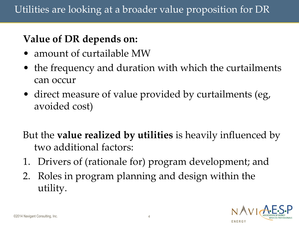## **Value of DR depends on:**

- amount of curtailable MW
- the frequency and duration with which the curtailments can occur
- direct measure of value provided by curtailments (eg, avoided cost)

But the **value realized by utilities** is heavily influenced by two additional factors:

- 1. Drivers of (rationale for) program development; and
- 2. Roles in program planning and design within the utility.

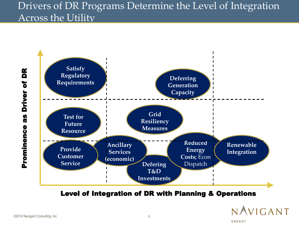### Drivers of DR Programs Determine the Level of Integration Across the Utility



Level of Integration of DR with Planning & Operations



**E N E R G Y**

Prominence as Driver of DR Prominence as Driver of DR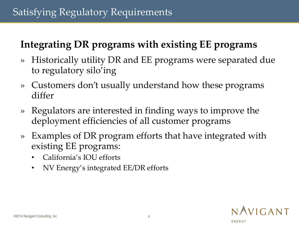# **Integrating DR programs with existing EE programs**

- » Historically utility DR and EE programs were separated due to regulatory silo'ing
- » Customers don't usually understand how these programs differ
- » Regulators are interested in finding ways to improve the deployment efficiencies of all customer programs
- » Examples of DR program efforts that have integrated with existing EE programs:
	- California's IOU efforts
	- NV Energy's integrated EE/DR efforts

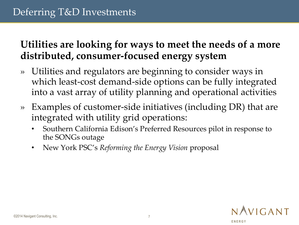### **Utilities are looking for ways to meet the needs of a more distributed, consumer-focused energy system**

- » Utilities and regulators are beginning to consider ways in which least-cost demand-side options can be fully integrated into a vast array of utility planning and operational activities
- » Examples of customer-side initiatives (including DR) that are integrated with utility grid operations:
	- Southern California Edison's Preferred Resources pilot in response to the SONGs outage
	- New York PSC's *Reforming the Energy Vision* proposal

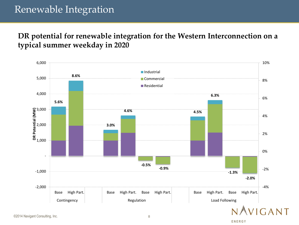### Renewable Integration

#### **DR potential for renewable integration for the Western Interconnection on a typical summer weekday in 2020**



©2014 Navigant Consulting, Inc. 8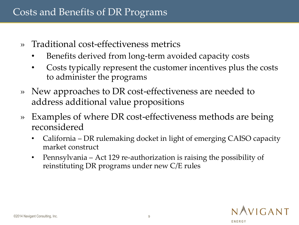### Costs and Benefits of DR Programs

- » Traditional cost-effectiveness metrics
	- Benefits derived from long-term avoided capacity costs
	- Costs typically represent the customer incentives plus the costs to administer the programs
- » New approaches to DR cost-effectiveness are needed to address additional value propositions
- » Examples of where DR cost-effectiveness methods are being reconsidered
	- California DR rulemaking docket in light of emerging CAISO capacity market construct
	- Pennsylvania Act 129 re-authorization is raising the possibility of reinstituting DR programs under new C/E rules